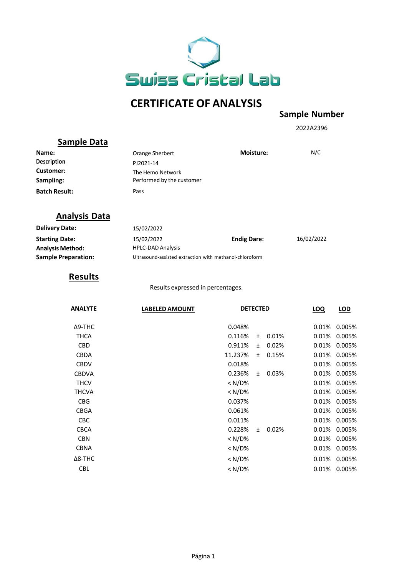

# **CERTIFICATE OF ANALYSIS**

#### **Sample Number**

2022A2396

## **Sample Data**

| Name:                | Orange Sherbert                               | <b>Moisture:</b> | N/C |
|----------------------|-----------------------------------------------|------------------|-----|
| <b>Description</b>   | PJ2021-14                                     |                  |     |
| Customer:            | The Hemo Network<br>Performed by the customer |                  |     |
| Sampling:            |                                               |                  |     |
| <b>Batch Result:</b> | Pass                                          |                  |     |

## **Analysis Data**

| <b>Delivery Date:</b>      | 15/02/2022               |                                                         |            |  |
|----------------------------|--------------------------|---------------------------------------------------------|------------|--|
| <b>Starting Date:</b>      | 15/02/2022               | <b>Endig Dare:</b>                                      | 16/02/2022 |  |
| <b>Analysis Method:</b>    | <b>HPLC-DAD Analysis</b> |                                                         |            |  |
| <b>Sample Preparation:</b> |                          | Ultrasound-assisted extraction with methanol-chloroform |            |  |

#### **Results**

Results expressed in percentages.

| <b>ANALYTE</b> | <b>LABELED AMOUNT</b> | <b>DETECTED</b> |           |       | <b>LOQ</b> | LOD    |
|----------------|-----------------------|-----------------|-----------|-------|------------|--------|
| $\Delta$ 9-THC |                       | 0.048%          |           |       | 0.01%      | 0.005% |
| <b>THCA</b>    |                       | 0.116%          | $\pm$     | 0.01% | 0.01%      | 0.005% |
| <b>CBD</b>     |                       | 0.911%          | $\ddot{}$ | 0.02% | 0.01%      | 0.005% |
| <b>CBDA</b>    |                       | 11.237%         | $\pm$     | 0.15% | 0.01%      | 0.005% |
| <b>CBDV</b>    |                       | 0.018%          |           |       | 0.01%      | 0.005% |
| <b>CBDVA</b>   |                       | 0.236%          | $\ddot{}$ | 0.03% | 0.01%      | 0.005% |
| <b>THCV</b>    |                       | $<$ N/D%        |           |       | 0.01%      | 0.005% |
| <b>THCVA</b>   |                       | $< N/D\%$       |           |       | 0.01%      | 0.005% |
| <b>CBG</b>     |                       | 0.037%          |           |       | 0.01%      | 0.005% |
| <b>CBGA</b>    |                       | 0.061%          |           |       | 0.01%      | 0.005% |
| <b>CBC</b>     |                       | 0.011%          |           |       | 0.01%      | 0.005% |
| <b>CBCA</b>    |                       | 0.228%          | $\ddot{}$ | 0.02% | 0.01%      | 0.005% |
| <b>CBN</b>     |                       | < N/D%          |           |       | 0.01%      | 0.005% |
| <b>CBNA</b>    |                       | $< N/D\%$       |           |       | 0.01%      | 0.005% |
| $\Delta$ 8-THC |                       | $<$ N/D%        |           |       | 0.01%      | 0.005% |
| <b>CBL</b>     |                       | $<$ N/D%        |           |       | 0.01%      | 0.005% |